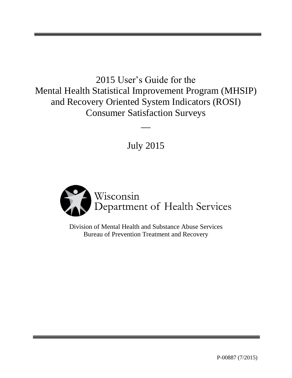2015 User's Guide for the Mental Health Statistical Improvement Program (MHSIP) and Recovery Oriented System Indicators (ROSI) Consumer Satisfaction Surveys  $\overline{\phantom{a}}$ 

July 2015



Division of Mental Health and Substance Abuse Services Bureau of Prevention Treatment and Recovery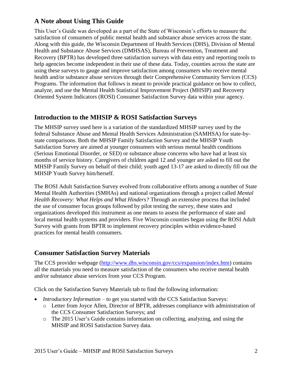## **A Note about Using This Guide**

This User's Guide was developed as a part of the State of Wisconsin's efforts to measure the satisfaction of consumers of public mental health and substance abuse services across the state. Along with this guide, the Wisconsin Department of Health Services (DHS), Division of Mental Health and Substance Abuse Services (DMHSAS), Bureau of Prevention, Treatment and Recovery (BPTR) has developed three satisfaction surveys with data entry and reporting tools to help agencies become independent in their use of these data. Today, counties across the state are using these surveys to gauge and improve satisfaction among consumers who receive mental health and/or substance abuse services through their Comprehensive Community Services (CCS) Programs. The information that follows is meant to provide practical guidance on how to collect, analyze, and use the Mental Health Statistical Improvement Project (MHSIP) and Recovery Oriented System Indicators (ROSI) Consumer Satisfaction Survey data within your agency.

## **Introduction to the MHSIP & ROSI Satisfaction Surveys**

The MHSIP survey used here is a variation of the standardized MHSIP survey used by the federal Substance Abuse and Mental Health Services Administration (SAMHSA) for state-bystate comparisons. Both the MHSIP Family Satisfaction Survey and the MHSIP Youth Satisfaction Survey are aimed at younger consumers with serious mental health conditions (Serious Emotional Disorder, or SED) or substance abuse concerns who have had at least six months of service history. Caregivers of children aged 12 and younger are asked to fill out the MHSIP Family Survey on behalf of their child; youth aged 13-17 are asked to directly fill out the MHSIP Youth Survey him/herself.

The ROSI Adult Satisfaction Survey evolved from collaborative efforts among a number of State Mental Health Authorities (SMHAs) and national organizations through a project called *Mental Health Recovery: What Helps and What Hinders?* Through an extensive process that included the use of consumer focus groups followed by pilot testing the survey, these states and organizations developed this instrument as one means to assess the performance of state and local mental health systems and providers. Five Wisconsin counties began using the ROSI Adult Survey with grants from BPTR to implement recovery principles within evidence-based practices for mental health consumers.

## **Consumer Satisfaction Survey Materials**

The CCS provider webpage [\(http://www.dhs.wisconsin.gov/ccs/expansion/index.htm\)](http://www.dhs.wisconsin.gov/ccs/expansion/index.htm) contains all the materials you need to measure satisfaction of the consumers who receive mental health and/or substance abuse services from your CCS Program.

Click on the Satisfaction Survey Materials tab to find the following information:

- *Introductory Information* to get you started with the CCS Satisfaction Surveys: o Letter from Joyce Allen, Director of BPTR, addresses compliance with administration of the CCS Consumer Satisfaction Surveys; and
	- o The 2015 User's Guide contains information on collecting, analyzing, and using the MHSIP and ROSI Satisfaction Survey data.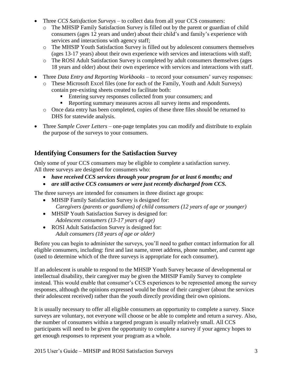- Three *CCS Satisfaction Surveys* to collect data from all your CCS consumers:
	- o The MHSIP Family Satisfaction Survey is filled out by the parent or guardian of child consumers (ages 12 years and under) about their child's and family's experience with services and interactions with agency staff;
	- o The MHSIP Youth Satisfaction Survey is filled out by adolescent consumers themselves (ages 13-17 years) about their own experience with services and interactions with staff;
	- o The ROSI Adult Satisfaction Survey is completed by adult consumers themselves (ages 18 years and older) about their own experience with services and interactions with staff.
- Three *Data Entry and Reporting Workbooks* to record your consumers' survey responses:
	- o These Microsoft Excel files (one for each of the Family, Youth and Adult Surveys) contain pre-existing sheets created to facilitate both:
		- Entering survey responses collected from your consumers; and
		- Reporting summary measures across all survey items and respondents.
	- o Once data entry has been completed, copies of these three files should be returned to DHS for statewide analysis.
- Three *Sample Cover Letters* one-page templates you can modify and distribute to explain the purpose of the surveys to your consumers.

# **Identifying Consumers for the Satisfaction Survey**

Only some of your CCS consumers may be eligible to complete a satisfaction survey. All three surveys are designed for consumers who:

- *have received CCS services through your program for at least 6 months; and*
- *are still active CCS consumers or were just recently discharged from CCS.*

The three surveys are intended for consumers in three distinct age groups:

- MHSIP Family Satisfaction Survey is designed for:  *Caregivers (parents or guardians) of child consumers (12 years of age or younger)*
- MHSIP Youth Satisfaction Survey is designed for:  *Adolescent consumers (13-17 years of age)*
- ROSI Adult Satisfaction Survey is designed for:  *Adult consumers (18 years of age or older)*

Before you can begin to administer the surveys, you'll need to gather contact information for all eligible consumers, including: first and last name, street address, phone number, and current age (used to determine which of the three surveys is appropriate for each consumer).

If an adolescent is unable to respond to the MHSIP Youth Survey because of developmental or intellectual disability, their caregiver may be given the MHSIP Family Survey to complete instead. This would enable that consumer's CCS experiences to be represented among the survey responses, although the opinions expressed would be those of their caregiver (about the services their adolescent received) rather than the youth directly providing their own opinions.

It is usually necessary to offer all eligible consumers an opportunity to complete a survey. Since surveys are voluntary, not everyone will choose or be able to complete and return a survey. Also, the number of consumers within a targeted program is usually relatively small. All CCS participants will need to be given the opportunity to complete a survey if your agency hopes to get enough responses to represent your program as a whole.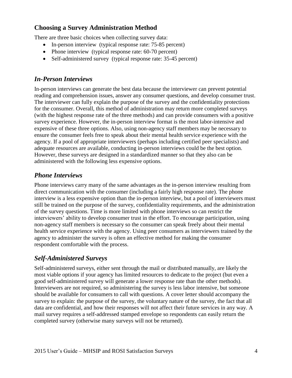### **Choosing a Survey Administration Method**

There are three basic choices when collecting survey data:

- In-person interview (typical response rate: 75-85 percent)
- Phone interview (typical response rate: 60-70 percent)
- Self-administered survey (typical response rate: 35-45 percent)

### *In-Person Interviews*

In-person interviews can generate the best data because the interviewer can prevent potential reading and comprehension issues, answer any consumer questions, and develop consumer trust. The interviewer can fully explain the purpose of the survey and the confidentiality protections for the consumer. Overall, this method of administration may return more completed surveys (with the highest response rate of the three methods) and can provide consumers with a positive survey experience. However, the in-person interview format is the most labor-intensive and expensive of these three options. Also, using non-agency staff members may be necessary to ensure the consumer feels free to speak about their mental health service experience with the agency. If a pool of appropriate interviewers (perhaps including certified peer specialists) and adequate resources are available, conducting in-person interviews could be the best option. However, these surveys are designed in a standardized manner so that they also can be administered with the following less expensive options.

## *Phone Interviews*

Phone interviews carry many of the same advantages as the in-person interview resulting from direct communication with the consumer (including a fairly high response rate). The phone interview is a less expensive option than the in-person interview, but a pool of interviewers must still be trained on the purpose of the survey, confidentiality requirements, and the administration of the survey questions. Time is more limited with phone interviews so can restrict the interviewers' ability to develop consumer trust in the effort. To encourage participation, using non-agency staff members is necessary so the consumer can speak freely about their mental health service experience with the agency. Using peer consumers as interviewers trained by the agency to administer the survey is often an effective method for making the consumer respondent comfortable with the process.

## *Self-Administered Surveys*

Self-administered surveys, either sent through the mail or distributed manually, are likely the most viable options if your agency has limited resources to dedicate to the project (but even a good self-administered survey will generate a lower response rate than the other methods). Interviewers are not required, so administering the survey is less labor intensive, but someone should be available for consumers to call with questions. A cover letter should accompany the survey to explain: the purpose of the survey, the voluntary nature of the survey, the fact that all data are confidential, and how their responses will not affect their future services in any way. A mail survey requires a self-addressed stamped envelope so respondents can easily return the completed survey (otherwise many surveys will not be returned).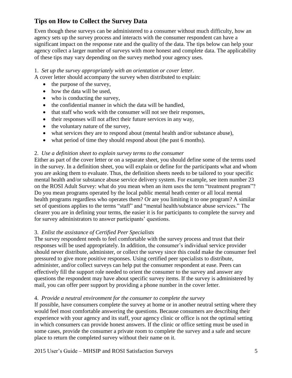# **Tips on How to Collect the Survey Data**

Even though these surveys can be administered to a consumer without much difficulty, how an agency sets up the survey process and interacts with the consumer respondent can have a significant impact on the response rate and the quality of the data. The tips below can help your agency collect a larger number of surveys with more honest and complete data. The applicability of these tips may vary depending on the survey method your agency uses.

### 1. *Set up the survey appropriately with an orientation or cover letter.*

A cover letter should accompany the survey when distributed to explain:

- $\bullet$  the purpose of the survey,
- how the data will be used,
- who is conducting the survey,
- the confidential manner in which the data will be handled,
- that staff who work with the consumer will not see their responses,
- their responses will not affect their future services in any way,
- the voluntary nature of the survey,
- what services they are to respond about (mental health and/or substance abuse),
- what period of time they should respond about (the past 6 months).

### 2. *Use a definition sheet to explain survey terms to the consumer*

Either as part of the cover letter or on a separate sheet, you should define some of the terms used in the survey. In a definition sheet, you will explain or define for the participants what and whom you are asking them to evaluate. Thus, the definition sheets needs to be tailored to your specific mental health and/or substance abuse service delivery system. For example, see item number 23 on the ROSI Adult Survey: what do you mean when an item uses the term "treatment program"? Do you mean programs operated by the local public mental heath center or all local mental health programs regardless who operates them? Or are you limiting it to one program? A similar set of questions applies to the terms "staff" and "mental health/substance abuse services." The clearer you are in defining your terms, the easier it is for participants to complete the survey and for survey administrators to answer participants' questions.

### 3. *Enlist the assistance of Certified Peer Specialists*

The survey respondent needs to feel comfortable with the survey process and trust that their responses will be used appropriately. In addition, the consumer's individual service provider should never distribute, administer, or collect the survey since this could make the consumer feel pressured to give more positive responses. Using certified peer specialists to distribute, administer, and/or collect surveys can help put the consumer respondent at ease. Peers can effectively fill the support role needed to orient the consumer to the survey and answer any questions the respondent may have about specific survey items. If the survey is administered by mail, you can offer peer support by providing a phone number in the cover letter.

### 4. *Provide a neutral environment for the consumer to complete the survey*

If possible, have consumers complete the survey at home or in another neutral setting where they would feel most comfortable answering the questions. Because consumers are describing their experience with your agency and its staff, your agency clinic or office is not the optimal setting in which consumers can provide honest answers. If the clinic or office setting must be used in some cases, provide the consumer a private room to complete the survey and a safe and secure place to return the completed survey without their name on it.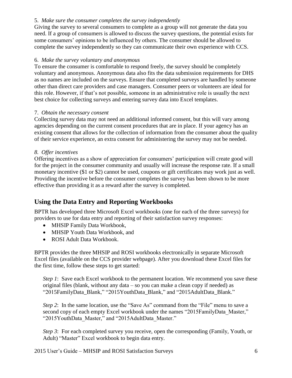### 5. *Make sure the consumer completes the survey independently*

Giving the survey to several consumers to complete as a group will not generate the data you need. If a group of consumers is allowed to discuss the survey questions, the potential exists for some consumers' opinions to be influenced by others. The consumer should be allowed to complete the survey independently so they can communicate their own experience with CCS.

### 6. *Make the survey voluntary and anonymous*

To ensure the consumer is comfortable to respond freely, the survey should be completely voluntary and anonymous. Anonymous data also fits the data submission requirements for DHS as no names are included on the surveys. Ensure that completed surveys are handled by someone other than direct care providers and case managers. Consumer peers or volunteers are ideal for this role. However, if that's not possible, someone in an administrative role is usually the next best choice for collecting surveys and entering survey data into Excel templates.

#### 7. *Obtain the necessary consent*

Collecting survey data may not need an additional informed consent, but this will vary among agencies depending on the current consent procedures that are in place. If your agency has an existing consent that allows for the collection of information from the consumer about the quality of their service experience, an extra consent for administering the survey may not be needed.

#### *8. Offer incentives*

Offering incentives as a show of appreciation for consumers' participation will create good will for the project in the consumer community and usually will increase the response rate. If a small monetary incentive (\$1 or \$2) cannot be used, coupons or gift certificates may work just as well. Providing the incentive before the consumer completes the survey has been shown to be more effective than providing it as a reward after the survey is completed.

### **Using the Data Entry and Reporting Workbooks**

BPTR has developed three Microsoft Excel workbooks (one for each of the three surveys) for providers to use for data entry and reporting of their satisfaction survey responses:

- MHSIP Family Data Workbook,
- MHSIP Youth Data Workbook, and
- ROSI Adult Data Workbook.

BPTR provides the three MHSIP and ROSI workbooks electronically in separate Microsoft Excel files (available on the CCS provider webpage). After you download these Excel files for the first time, follow these steps to get started:

*Step 1*: Save each Excel workbook to the permanent location. We recommend you save these original files (blank, without any data – so you can make a clean copy if needed) as "2015FamilyData\_Blank," "2015YouthData\_Blank," and "2015AdultData\_Blank."

*Step 2*: In the same location, use the "Save As" command from the "File" menu to save a second copy of each empty Excel workbook under the names "2015FamilyData\_Master," "2015YouthData\_Master," and "2015AdultData\_Master."

*Step 3*: For each completed survey you receive, open the corresponding (Family, Youth, or Adult) "Master" Excel workbook to begin data entry.

2015 User's Guide – MHSIP and ROSI Satisfaction Surveys 6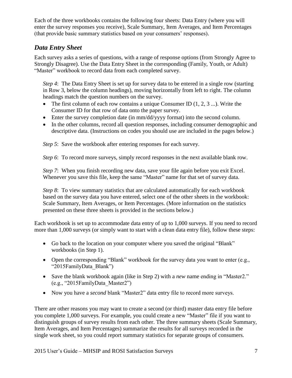Each of the three workbooks contains the following four sheets: Data Entry (where you will enter the survey responses you receive), Scale Summary, Item Averages, and Item Percentages (that provide basic summary statistics based on your consumers' responses).

# *Data Entry Sheet*

Each survey asks a series of questions, with a range of response options (from Strongly Agree to Strongly Disagree). Use the Data Entry Sheet in the corresponding (Family, Youth, or Adult) "Master" workbook to record data from each completed survey.

*Step 4*: The Data Entry Sheet is set up for survey data to be entered in a single row (starting in Row 3, below the column headings), moving horizontally from left to right. The column headings match the question numbers on the survey.

- The first column of each row contains a unique Consumer ID  $(1, 2, 3, \ldots)$ . Write the Consumer ID for that row of data onto the paper survey.
- Enter the survey completion date (in mm/dd/yyyy format) into the second column.
- In the other columns, record all question responses, including consumer demographic and descriptive data. (Instructions on codes you should use are included in the pages below.)

*Step 5*: Save the workbook after entering responses for each survey.

*Step 6*: To record more surveys, simply record responses in the next available blank row.

*Step 7*: When you finish recording new data, save your file again before you exit Excel. Whenever you save this file, keep the same "Master" name for that set of survey data.

*Step 8*: To view summary statistics that are calculated automatically for each workbook based on the survey data you have entered, select one of the other sheets in the workbook: Scale Summary, Item Averages, or Item Percentages. (More information on the statistics presented on these three sheets is provided in the sections below.)

Each workbook is set up to accommodate data entry of up to 1,000 surveys. If you need to record more than 1,000 surveys (or simply want to start with a clean data entry file), follow these steps:

- Go back to the location on your computer where you saved the original "Blank" workbooks (in Step 1).
- Open the corresponding "Blank" workbook for the survey data you want to enter (e.g., "2015FamilyData\_Blank")
- Save the blank workbook again (like in Step 2) with a *new* name ending in "Master2." (e.g., "2015FamilyData\_Master2")
- Now you have a *second* blank "Master2" data entry file to record more surveys.

There are other reasons you may want to create a second (or third) master data entry file before you complete 1,000 surveys. For example, you could create a new "Master" file if you want to distinguish groups of survey results from each other. The three summary sheets (Scale Summary, Item Averages, and Item Percentages) summarize the results for all surveys recorded in the single work sheet, so you could report summary statistics for separate groups of consumers.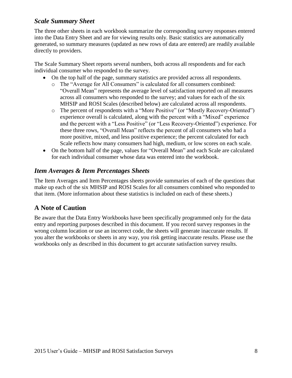### *Scale Summary Sheet*

The three other sheets in each workbook summarize the corresponding survey responses entered into the Data Entry Sheet and are for viewing results only. Basic statistics are automatically generated, so summary measures (updated as new rows of data are entered) are readily available directly to providers.

The Scale Summary Sheet reports several numbers, both across all respondents and for each individual consumer who responded to the survey.

- On the top half of the page, summary statistics are provided across all respondents.
	- o The "Average for All Consumers" is calculated for all consumers combined: "Overall Mean" represents the average level of satisfaction reported on all measures across all consumers who responded to the survey; and values for each of the six MHSIP and ROSI Scales (described below) are calculated across all respondents.
	- o The percent of respondents with a "More Positive" (or "Mostly Recovery-Oriented") experience overall is calculated, along with the percent with a "Mixed" experience and the percent with a "Less Positive" (or "Less Recovery-Oriented") experience. For these three rows, "Overall Mean" reflects the percent of all consumers who had a more positive, mixed, and less positive experience; the percent calculated for each Scale reflects how many consumers had high, medium, or low scores on each scale.
- On the bottom half of the page, values for "Overall Mean" and each Scale are calculated for each individual consumer whose data was entered into the workbook.

## *Item Averages & Item Percentages Sheets*

The Item Averages and Item Percentages sheets provide summaries of each of the questions that make up each of the six MHSIP and ROSI Scales for all consumers combined who responded to that item. (More information about these statistics is included on each of these sheets.)

## **A Note of Caution**

Be aware that the Data Entry Workbooks have been specifically programmed only for the data entry and reporting purposes described in this document. If you record survey responses in the wrong column location or use an incorrect code, the sheets will generate inaccurate results. If you alter the workbooks or sheets in any way, you risk getting inaccurate results. Please use the workbooks only as described in this document to get accurate satisfaction survey results.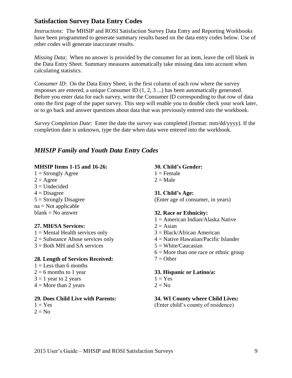### **Satisfaction Survey Data Entry Codes**

*Instructions*: The MHSIP and ROSI Satisfaction Survey Data Entry and Reporting Workbooks have been programmed to generate summary results based on the data entry codes below. Use of other codes will generate inaccurate results.

*Missing Data*: When no answer is provided by the consumer for an item, leave the cell blank in the Data Entry Sheet. Summary measures automatically take missing data into account when calculating statistics.

*Consumer ID*: On the Data Entry Sheet, in the first column of each row where the survey responses are entered, a unique Consumer ID (1, 2, 3 ...) has been automatically generated. Before you enter data for each survey, write the Consumer ID corresponding to that row of data onto the first page of the paper survey. This step will enable you to double check your work later, or to go back and answer questions about data that was previously entered into the workbook.

*Survey Completion Date*: Enter the date the survey was completed (format: mm/dd/yyyy). If the completion date is unknown, type the date when data were entered into the workbook.

# *MHSIP Family and Youth Data Entry Codes*

### **MHSIP Items 1-15 and 16-26:**

 $1 =$  Strongly Agree  $2 = \text{Agree}$  $3 =$  Undecided  $4$  = Disagree  $5 =$  Strongly Disagree  $na = Not applicable$  $blank = No answer$ 

### **27. MH/SA Services:**

 $1 =$  Mental Health services only  $2 =$  Substance Abuse services only  $3 =$  Both MH and SA services

### **28. Length of Services Received:**

 $1 =$ Less than 6 months  $2 = 6$  months to 1 year  $3 = 1$  year to 2 years  $4 =$ More than 2 years

### **29. Does Child Live with Parents:**

 $1 = Yes$  $2 = No$ 

**30. Child's Gender:**  $1 =$ Female

 $2 = Male$ 

### **31. Child's Age:**

(Enter age of consumer, in years)

### **32. Race or Ethnicity:**

- $1 =$  American Indian/Alaska Native
- $2 = Asian$
- 3 = Black/African American
- 4 = Native Hawaiian/Pacific Islander
- $5 = White/Caucasian$
- $6 =$  More than one race or ethnic group
- $7 =$ Other

### **33. Hispanic or Latino/a:**

- $1 = Yes$
- $2 = No$

### **34. WI County where Child Lives:**

(Enter child's county of residence)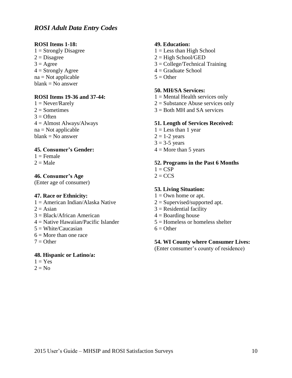### *ROSI Adult Data Entry Codes*

#### **ROSI Items 1-18:**

 $1 =$  Strongly Disagree  $2 = Disagree$  $3 = \text{Agree}$  $4 =$  Strongly Agree na = Not applicable  $blank = No answer$ 

### **ROSI Items 19-36 and 37-44:**

 $1 =$  Never/Rarely  $2 =$ Sometimes  $3 =$  Often  $4 =$  Almost Always/Always  $na = Not applicable$  $blank = No$  answer

### **45. Consumer's Gender:**

 $1 =$ Female  $2 =$ Male

#### **46. Consumer's Age**

(Enter age of consumer)

#### **47. Race or Ethnicity:**

- $1 =$  American Indian/Alaska Native  $2 = Asian$ 3 = Black/African American 4 = Native Hawaiian/Pacific Islander  $5 = White/Caucasian$
- $6 =$ More than one race
- $7 =$ Other

### **48. Hispanic or Latino/a:**

 $1 = Yes$  $2 = No$ 

#### **49. Education:**

- $1 =$  Less than High School
- $2 =$ High School/GED
- 3 = College/Technical Training
- $4 =$  Graduate School
- $5 =$ Other

#### **50. MH/SA Services:**

- $1 =$  Mental Health services only
- $2 =$  Substance Abuse services only
- 3 = Both MH and SA services

#### **51. Length of Services Received:**

- $1 =$  Less than 1 year
- $2 = 1-2$  years
- $3 = 3-5$  years
- $4 =$ More than 5 years

### **52. Programs in the Past 6 Months**

- $1 = CSP$
- $2 = CCS$

#### **53. Living Situation:**

- $1 =$ Own home or apt.
- $2 =$  Supervised/supported apt.
- $3$  = Residential facility
- $4 =$ Boarding house
- $5 =$ Homeless or homeless shelter
- $6 =$  Other

#### **54. WI County where Consumer Lives:**

(Enter consumer's county of residence)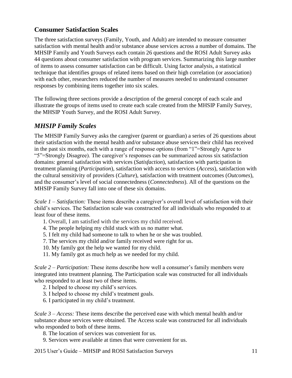# **Consumer Satisfaction Scales**

The three satisfaction surveys (Family, Youth, and Adult) are intended to measure consumer satisfaction with mental health and/or substance abuse services across a number of domains. The MHSIP Family and Youth Surveys each contain 26 questions and the ROSI Adult Survey asks 44 questions about consumer satisfaction with program services. Summarizing this large number of items to assess consumer satisfaction can be difficult. Using factor analysis, a statistical technique that identifies groups of related items based on their high correlation (or association) with each other, researchers reduced the number of measures needed to understand consumer responses by combining items together into six scales.

The following three sections provide a description of the general concept of each scale and illustrate the groups of items used to create each scale created from the MHSIP Family Survey, the MHSIP Youth Survey, and the ROSI Adult Survey.

## *MHSIP Family Scales*

The MHSIP Family Survey asks the caregiver (parent or guardian) a series of 26 questions about their satisfaction with the mental health and/or substance abuse services their child has received in the past six months, each with a range of response options (from "1"=Strongly Agree to "5"=Strongly Disagree). The caregiver's responses can be summarized across six satisfaction domains: general satisfaction with services (*Satisfaction*), satisfaction with participation in treatment planning (*Participation*), satisfaction with access to services (*Access*), satisfaction with the cultural sensitivity of providers (*Culture*), satisfaction with treatment outcomes (*Outcomes*), and the consumer's level of social connectedness (*Connectedness*). All of the questions on the MHSIP Family Survey fall into one of these six domains.

*Scale 1 – Satisfaction:* These items describe a caregiver's overall level of satisfaction with their child's services. The Satisfaction scale was constructed for all individuals who responded to at least four of these items.

- 1. Overall, I am satisfied with the services my child received.
- 4. The people helping my child stuck with us no matter what.
- 5. I felt my child had someone to talk to when he or she was troubled.
- 7. The services my child and/or family received were right for us.
- 10. My family got the help we wanted for my child.
- 11. My family got as much help as we needed for my child.

*Scale 2 – Participation:* These items describe how well a consumer's family members were integrated into treatment planning. The Participation scale was constructed for all individuals who responded to at least two of these items.

- 2. I helped to choose my child's services.
- 3. I helped to choose my child's treatment goals.
- 6. I participated in my child's treatment.

*Scale 3 – Access:* These items describe the perceived ease with which mental health and/or substance abuse services were obtained. The Access scale was constructed for all individuals who responded to both of these items.

- 8. The location of services was convenient for us.
- 9. Services were available at times that were convenient for us.

2015 User's Guide – MHSIP and ROSI Satisfaction Surveys 11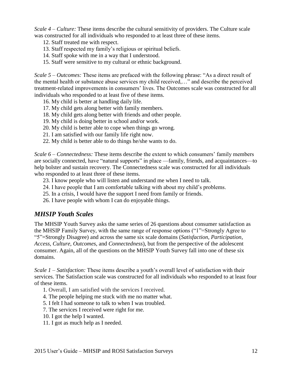*Scale 4 – Culture:* These items describe the cultural sensitivity of providers. The Culture scale was constructed for all individuals who responded to at least three of these items.

- 12. Staff treated me with respect.
- 13. Staff respected my family's religious or spiritual beliefs.
- 14. Staff spoke with me in a way that I understood.
- 15. Staff were sensitive to my cultural or ethnic background.

*Scale 5 – Outcomes:* These items are prefaced with the following phrase: "As a direct result of the mental health or substance abuse services my child received,…" and describe the perceived treatment-related improvements in consumers' lives. The Outcomes scale was constructed for all individuals who responded to at least five of these items.

- 16. My child is better at handling daily life.
- 17. My child gets along better with family members.
- 18. My child gets along better with friends and other people.
- 19. My child is doing better in school and/or work.
- 20. My child is better able to cope when things go wrong.
- 21. I am satisfied with our family life right now.
- 22. My child is better able to do things he/she wants to do.

*Scale 6 – Connectedness:* These items describe the extent to which consumers' family members are socially connected, have "natural supports" in place —family, friends, and acquaintances—to help bolster and sustain recovery. The Connectedness scale was constructed for all individuals who responded to at least three of these items.

- 23. I know people who will listen and understand me when I need to talk.
- 24. I have people that I am comfortable talking with about my child's problems.
- 25. In a crisis, I would have the support I need from family or friends.
- 26. I have people with whom I can do enjoyable things.

### *MHSIP Youth Scales*

The MHSIP Youth Survey asks the same series of 26 questions about consumer satisfaction as the MHSIP Family Survey, with the same range of response options ("1"=Strongly Agree to "5"=Strongly Disagree) and across the same six scale domains (*Satisfaction*, *Participation*, *Access*, *Culture*, *Outcomes*, and *Connectedness*), but from the perspective of the adolescent consumer. Again, all of the questions on the MHSIP Youth Survey fall into one of these six domains.

*Scale 1 – Satisfaction:* These items describe a youth's overall level of satisfaction with their services. The Satisfaction scale was constructed for all individuals who responded to at least four of these items.

- 1. Overall, I am satisfied with the services I received.
- 4. The people helping me stuck with me no matter what.
- 5. I felt I had someone to talk to when I was troubled.
- 7. The services I received were right for me.
- 10. I got the help I wanted.
- 11. I got as much help as I needed.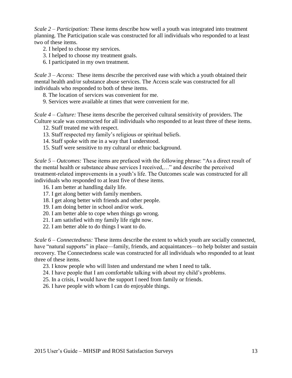*Scale 2 – Participation:* These items describe how well a youth was integrated into treatment planning. The Participation scale was constructed for all individuals who responded to at least two of these items.

- 2. I helped to choose my services.
- 3. I helped to choose my treatment goals.
- 6. I participated in my own treatment.

*Scale 3 – Access:* These items describe the perceived ease with which a youth obtained their mental health and/or substance abuse services. The Access scale was constructed for all individuals who responded to both of these items.

- 8. The location of services was convenient for me.
- 9. Services were available at times that were convenient for me.

*Scale 4 – Culture:* These items describe the perceived cultural sensitivity of providers. The Culture scale was constructed for all individuals who responded to at least three of these items.

- 12. Staff treated me with respect.
- 13. Staff respected my family's religious or spiritual beliefs.
- 14. Staff spoke with me in a way that I understood.
- 15. Staff were sensitive to my cultural or ethnic background.

*Scale 5 – Outcomes:* These items are prefaced with the following phrase: "As a direct result of the mental health or substance abuse services I received,…" and describe the perceived treatment-related improvements in a youth's life. The Outcomes scale was constructed for all individuals who responded to at least five of these items.

- 16. I am better at handling daily life.
- 17. I get along better with family members.
- 18. I get along better with friends and other people.
- 19. I am doing better in school and/or work.
- 20. I am better able to cope when things go wrong.
- 21. I am satisfied with my family life right now.
- 22. I am better able to do things I want to do.

*Scale 6 – Connectedness:* These items describe the extent to which youth are socially connected, have "natural supports" in place—family, friends, and acquaintances—to help bolster and sustain recovery. The Connectedness scale was constructed for all individuals who responded to at least three of these items.

- 23. I know people who will listen and understand me when I need to talk.
- 24. I have people that I am comfortable talking with about my child's problems.
- 25. In a crisis, I would have the support I need from family or friends.
- 26. I have people with whom I can do enjoyable things.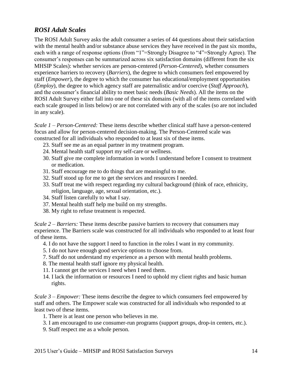# *ROSI Adult Scales*

The ROSI Adult Survey asks the adult consumer a series of 44 questions about their satisfaction with the mental health and/or substance abuse services they have received in the past six months, each with a range of response options (from "1"=Strongly Disagree to "4"=Strongly Agree). The consumer's responses can be summarized across six satisfaction domains (different from the six MHSIP Scales): whether services are person-centered (*Person-Centered*), whether consumers experience barriers to recovery (*Barriers*), the degree to which consumers feel empowered by staff (*Empower*), the degree to which the consumer has educational/employment opportunities (*Employ*), the degree to which agency staff are paternalistic and/or coercive (*Staff Approach*), and the consumer's financial ability to meet basic needs (*Basic Needs*). All the items on the ROSI Adult Survey either fall into one of these six domains (with all of the items correlated with each scale grouped in lists below) or are not correlated with any of the scales (so are not included in any scale).

*Scale 1 – Person-Centered:* These items describe whether clinical staff have a person-centered focus and allow for person-centered decision-making. The Person-Centered scale was constructed for all individuals who responded to at least six of these items.

- 23. Staff see me as an equal partner in my treatment program.
- 24. Mental health staff support my self-care or wellness.
- 30. Staff give me complete information in words I understand before I consent to treatment or medication.
- 31. Staff encourage me to do things that are meaningful to me.
- 32. Staff stood up for me to get the services and resources I needed.
- 33. Staff treat me with respect regarding my cultural background (think of race, ethnicity, religion, language, age, sexual orientation, etc.).
- 34. Staff listen carefully to what I say.
- 37. Mental health staff help me build on my strengths.
- 38. My right to refuse treatment is respected.

*Scale 2 – Barriers:* These items describe passive barriers to recovery that consumers may experience. The Barriers scale was constructed for all individuals who responded to at least four of these items.

- 4. I do not have the support I need to function in the roles I want in my community.
- 5. I do not have enough good service options to choose from.
- 7. Staff do not understand my experience as a person with mental health problems.
- 8. The mental health staff ignore my physical health.
- 11. I cannot get the services I need when I need them.
- 14. I lack the information or resources I need to uphold my client rights and basic human rights.

*Scale 3 – Empower:* These items describe the degree to which consumers feel empowered by staff and others. The Empower scale was constructed for all individuals who responded to at least two of these items.

- 1. There is at least one person who believes in me.
- 3. I am encouraged to use consumer-run programs (support groups, drop-in centers, etc.).
- 9. Staff respect me as a whole person.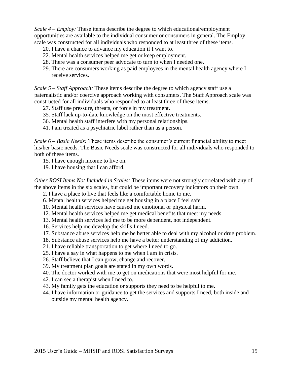*Scale 4 – Employ:* These items describe the degree to which educational/employment opportunities are available to the individual consumer or consumers in general. The Employ scale was constructed for all individuals who responded to at least three of these items.

- 20. I have a chance to advance my education if I want to.
- 22. Mental health services helped me get or keep employment.
- 28. There was a consumer peer advocate to turn to when I needed one.
- 29. There are consumers working as paid employees in the mental health agency where I receive services.

*Scale 5 – Staff Approach:* These items describe the degree to which agency staff use a paternalistic and/or coercive approach working with consumers. The Staff Approach scale was constructed for all individuals who responded to at least three of these items.

- 27. Staff use pressure, threats, or force in my treatment.
- 35. Staff lack up-to-date knowledge on the most effective treatments.
- 36. Mental health staff interfere with my personal relationships.
- 41. I am treated as a psychiatric label rather than as a person.

*Scale 6 – Basic Needs:* These items describe the consumer's current financial ability to meet his/her basic needs. The Basic Needs scale was constructed for all individuals who responded to both of these items.

- 15. I have enough income to live on.
- 19. I have housing that I can afford.

*Other ROSI Items Not Included in Scales:* These items were not strongly correlated with any of the above items in the six scales, but could be important recovery indicators on their own.

- 2. I have a place to live that feels like a comfortable home to me.
- 6. Mental health services helped me get housing in a place I feel safe.
- 10. Mental health services have caused me emotional or physical harm.
- 12. Mental health services helped me get medical benefits that meet my needs.
- 13. Mental health services led me to be more dependent, not independent.
- 16. Services help me develop the skills I need.
- 17. Substance abuse services help me be better able to deal with my alcohol or drug problem.
- 18. Substance abuse services help me have a better understanding of my addiction.
- 21. I have reliable transportation to get where I need to go.
- 25. I have a say in what happens to me when I am in crisis.
- 26. Staff believe that I can grow, change and recover.
- 39. My treatment plan goals are stated in my own words.
- 40. The doctor worked with me to get on medications that were most helpful for me.
- 42. I can see a therapist when I need to.
- 43. My family gets the education or supports they need to be helpful to me.
- 44. I have information or guidance to get the services and supports I need, both inside and outside my mental health agency.